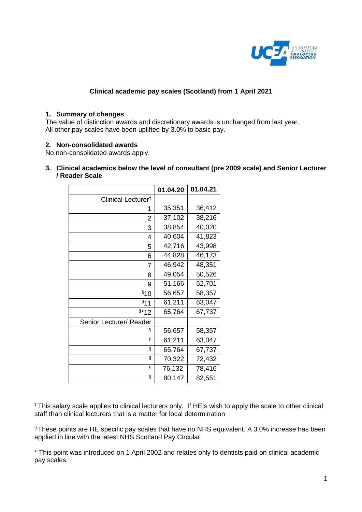

## **Clinical academic pay scales (Scotland) from 1 April 2021**

#### **1. Summary of changes**

The value of distinction awards and discretionary awards is unchanged from last year. All other pay scales have been uplifted by 3.0% to basic pay.

## **2. Non-consolidated awards**

No non-consolidated awards apply.

**3. Clinical academics below the level of consultant (pre 2009 scale) and Senior Lecturer / Reader Scale**

|                                | 01.04.20 | 01.04.21 |
|--------------------------------|----------|----------|
| Clinical Lecturer <sup>t</sup> |          |          |
| 1                              | 35,351   | 36,412   |
| 2                              | 37,102   | 38,216   |
| 3                              | 38,854   | 40,020   |
| 4                              | 40,604   | 41,823   |
| 5                              | 42,716   | 43,998   |
| 6                              | 44,828   | 46,173   |
| 7                              | 46,942   | 48,351   |
| 8                              | 49,054   | 50,526   |
| 9                              | 51,166   | 52,701   |
| \$10                           | 56,657   | 58,357   |
| \$11                           | 61,211   | 63,047   |
| $$*12$                         | 65,764   | 67,737   |
| Senior Lecturer/ Reader        |          |          |
| ş                              | 56,657   | 58,357   |
| ş                              | 61,211   | 63,047   |
| ş                              | 65,764   | 67,737   |
| ş                              | 70,322   | 72,432   |
| ş                              | 76,132   | 78,416   |
| ş                              | 80,147   | 82,551   |

† This salary scale applies to clinical lecturers only. If HEIs wish to apply the scale to other clinical staff than clinical lecturers that is a matter for local determination

§ These points are HE specific pay scales that have no NHS equivalent. A 3.0% increase has been applied in line with the latest NHS Scotland Pay Circular.

\* This point was introduced on 1 April 2002 and relates only to dentists paid on clinical academic pay scales.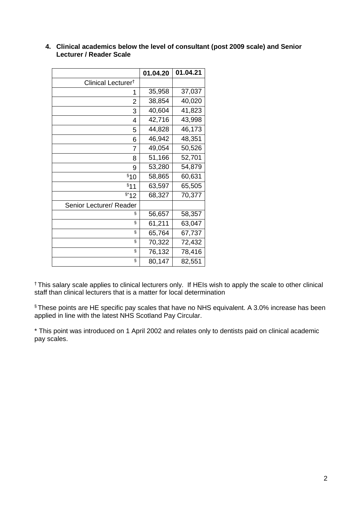|                                | 01.04.20 | 01.04.21 |
|--------------------------------|----------|----------|
| Clinical Lecturer <sup>†</sup> |          |          |
| 1                              | 35,958   | 37,037   |
| 2                              | 38,854   | 40,020   |
| 3                              | 40,604   | 41,823   |
| 4                              | 42,716   | 43,998   |
| 5                              | 44,828   | 46,173   |
| 6                              | 46,942   | 48,351   |
| 7                              | 49,054   | 50,526   |
| 8                              | 51,166   | 52,701   |
| 9                              | 53,280   | 54,879   |
| §10                            | 58,865   | 60,631   |
| \$11                           | 63,597   | 65,505   |
| $s*12$                         | 68,327   | 70,377   |
| Senior Lecturer/ Reader        |          |          |
| ş                              | 56,657   | 58,357   |
| ş                              | 61,211   | 63,047   |
| §                              | 65,764   | 67,737   |
| ş                              | 70,322   | 72,432   |
| ş                              | 76,132   | 78,416   |
| ş                              | 80,147   | 82,551   |

### **4. Clinical academics below the level of consultant (post 2009 scale) and Senior Lecturer / Reader Scale**

† This salary scale applies to clinical lecturers only. If HEIs wish to apply the scale to other clinical staff than clinical lecturers that is a matter for local determination

§ These points are HE specific pay scales that have no NHS equivalent. A 3.0% increase has been applied in line with the latest NHS Scotland Pay Circular.

\* This point was introduced on 1 April 2002 and relates only to dentists paid on clinical academic pay scales.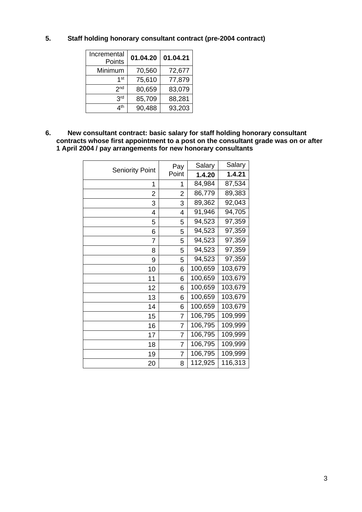| Incremental<br>Points | 01.04.20 | 01.04.21 |
|-----------------------|----------|----------|
| Minimum               | 70,560   | 72,677   |
| 1 <sub>st</sub>       | 75,610   | 77,879   |
| 2 <sub>nd</sub>       | 80,659   | 83,079   |
| 3rd                   | 85,709   | 88,281   |
| ⊿th                   | 90,488   | 93,203   |

## **5. Staff holding honorary consultant contract (pre-2004 contract)**

**6. New consultant contract: basic salary for staff holding honorary consultant contracts whose first appointment to a post on the consultant grade was on or after 1 April 2004 / pay arrangements for new honorary consultants**

|                        | Pay            | Salary  | Salary  |
|------------------------|----------------|---------|---------|
| <b>Seniority Point</b> | Point          | 1.4.20  | 1.4.21  |
| 1                      | 1              | 84,984  | 87,534  |
| 2                      | 2              | 86,779  | 89,383  |
| 3                      | 3              | 89,362  | 92,043  |
| 4                      | 4              | 91,946  | 94,705  |
| 5                      | 5              | 94,523  | 97,359  |
| 6                      | 5              | 94,523  | 97,359  |
| 7                      | 5              | 94,523  | 97,359  |
| 8                      | 5              | 94,523  | 97,359  |
| 9                      | 5              | 94,523  | 97,359  |
| 10                     | 6              | 100,659 | 103,679 |
| 11                     | 6              | 100,659 | 103,679 |
| 12                     | 6              | 100,659 | 103,679 |
| 13                     | 6              | 100,659 | 103,679 |
| 14                     | 6              | 100,659 | 103,679 |
| 15                     | $\overline{7}$ | 106,795 | 109,999 |
| 16                     | 7              | 106,795 | 109,999 |
| 17                     | 7              | 106,795 | 109,999 |
| 18                     | 7              | 106,795 | 109,999 |
| 19                     | $\overline{7}$ | 106,795 | 109,999 |
| 20                     | 8              | 112,925 | 116,313 |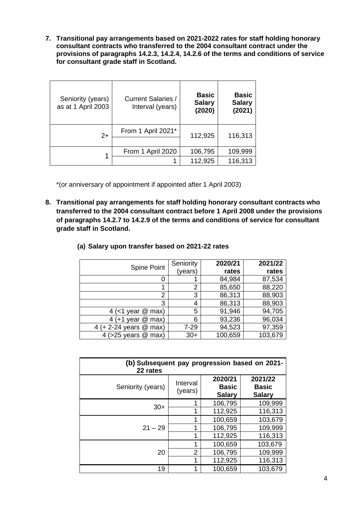**7. Transitional pay arrangements based on 2021-2022 rates for staff holding honorary consultant contracts who transferred to the 2004 consultant contract under the provisions of paragraphs 14.2.3, 14.2.4, 14.2.6 of the terms and conditions of service for consultant grade staff in Scotland.** 

| Seniority (years)<br>as at 1 April 2003 | <b>Current Salaries /</b><br>Interval (years) | <b>Basic</b><br><b>Salary</b><br>(2020) | <b>Basic</b><br><b>Salary</b><br>(2021) |
|-----------------------------------------|-----------------------------------------------|-----------------------------------------|-----------------------------------------|
| $2+$                                    | From 1 April 2021*                            | 112,925                                 | 116,313                                 |
|                                         | From 1 April 2020                             | 106,795                                 | 109,999                                 |
|                                         |                                               | 112,925                                 | 116,313                                 |

\*(or anniversary of appointment if appointed after 1 April 2003)

**8. Transitional pay arrangements for staff holding honorary consultant contracts who transferred to the 2004 consultant contract before 1 April 2008 under the provisions of paragraphs 14.2.7 to 14.2.9 of the terms and conditions of service for consultant grade staff in Scotland.** 

| <b>Spine Point</b>       | Seniority | 2020/21 | 2021/22 |
|--------------------------|-----------|---------|---------|
|                          | (years)   | rates   | rates   |
| 0                        | 1         | 84,984  | 87,534  |
|                          | 2         | 85,650  | 88,220  |
| 2                        | 3         | 86,313  | 88,903  |
| 3                        | 4         | 86,313  | 88,903  |
| 4 (<1 year $@$ max)      | 5         | 91,946  | 94,705  |
| 4 (+1 year $@$ max)      | 6         | 93,236  | 96,034  |
| 4 (+ 2-24 years $@$ max) | $7 - 29$  | 94,523  | 97,359  |
| 4 ( $>25$ years $@$ max) | $30+$     | 100,659 | 103,679 |

**(a) Salary upon transfer based on 2021-22 rates** 

| (b) Subsequent pay progression based on 2021-<br>22 rates |                     |                                          |                                          |
|-----------------------------------------------------------|---------------------|------------------------------------------|------------------------------------------|
| Seniority (years)                                         | Interval<br>(years) | 2020/21<br><b>Basic</b><br><b>Salary</b> | 2021/22<br><b>Basic</b><br><b>Salary</b> |
|                                                           | 1                   | 106,795                                  | 109,999                                  |
| $30+$                                                     | 1                   | 112,925                                  | 116,313                                  |
|                                                           | 1                   | 100,659                                  | 103,679                                  |
| $21 - 29$                                                 | 1                   | 106,795                                  | 109,999                                  |
|                                                           | 1                   | 112,925                                  | 116,313                                  |
|                                                           | 1                   | 100,659                                  | 103,679                                  |
| 20                                                        | 2                   | 106,795                                  | 109,999                                  |
|                                                           | 1                   | 112,925                                  | 116,313                                  |
| 19                                                        | 1                   | 100,659                                  | 103,679                                  |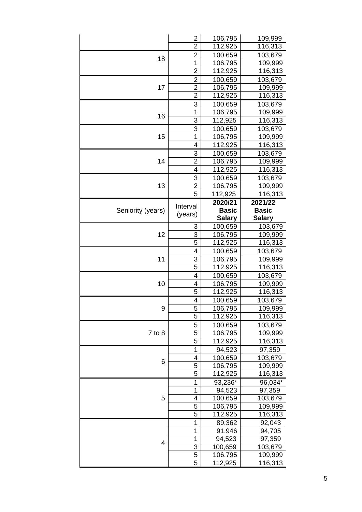|                   | 2              | 106,795            | 109,999            |
|-------------------|----------------|--------------------|--------------------|
|                   | 2              | 112,925            | 116,313            |
|                   | $\overline{2}$ | 100,659            | 103,679            |
| 18                | 1              | 106,795            | 109,999            |
|                   | $\overline{c}$ | 112,925            | 116,313            |
|                   | $\overline{2}$ | 100,659            | 103,679            |
| 17                | $\overline{2}$ | 106,795            | 109,999            |
|                   | $\overline{2}$ | 112,925            | 116,313            |
|                   | 3              | 100,659            | 103,679            |
|                   | 1              | 106,795            | 109,999            |
| 16                | 3              | 112,925            | 116,313            |
|                   | 3              | 100,659            | 103,679            |
| 15                | 1              | 106,795            | 109,999            |
|                   | 4              | 112,925            | 116,313            |
|                   | 3              | 100,659            | 103,679            |
| 14                | $\overline{c}$ | 106,795            | 109,999            |
|                   | 4              | 112,925            | 116,313            |
|                   | 3              | 100,659            | 103,679            |
| 13                | $\overline{2}$ | 106,795            | 109,999            |
|                   | 5              | 112,925            | 116,313            |
|                   |                | 2020/21            | 2021/22            |
| Seniority (years) | Interval       | <b>Basic</b>       | <b>Basic</b>       |
|                   | (years)        | <b>Salary</b>      | <b>Salary</b>      |
|                   | 3              | 100,659            | 103,679            |
| 12                | 3              | 106,795            | 109,999            |
|                   | 5              | 112,925            | 116,313            |
|                   | 4              | 100,659            | 103,679            |
| 11                | 3              | 106,795            | 109,999            |
|                   | 5              | 112,925            | 116,313            |
|                   | 4              | 100,659            | 103,679            |
| 10                | 4              | 106,795            | 109,999            |
|                   | 5              | 112,925            | 116,313            |
|                   | 4              | 100,659            | 103,679            |
| 9                 | 5              | 106,795            | 109,999            |
|                   | 5              | 112,925            | 116,313            |
|                   | 5              | 100,659            | 103,679            |
| $7$ to $8$        | 5              | 106,795            | 109,999            |
|                   |                |                    |                    |
|                   | 5              | 112,925            | 116,313            |
|                   | 1              | 94,523             | 97,359             |
|                   | 4              | 100,659            | 103,679            |
| 6                 | 5              | 106,795            | 109,999            |
|                   | 5              | 112,925            | 116,313            |
|                   | 1              | 93,236*            | 96,034*            |
|                   | 1              | 94,523             | 97,359             |
| 5                 | 4              | 100,659            | 103,679            |
|                   | 5              | 106,795            | 109,999            |
|                   | 5              | 112,925            | 116,313            |
|                   | 1              | 89,362             | 92,043             |
|                   | 1              | 91,946             | 94,705             |
| 4                 | 1              | 94,523             | 97,359             |
|                   | 3              | 100,659            | 103,679            |
|                   | 5<br>5         | 106,795<br>112,925 | 109,999<br>116,313 |